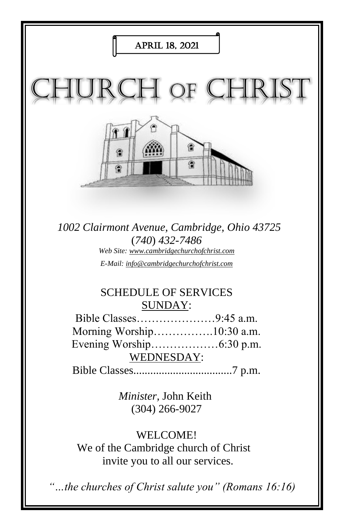

*"…the churches of Christ salute you" (Romans 16:16)*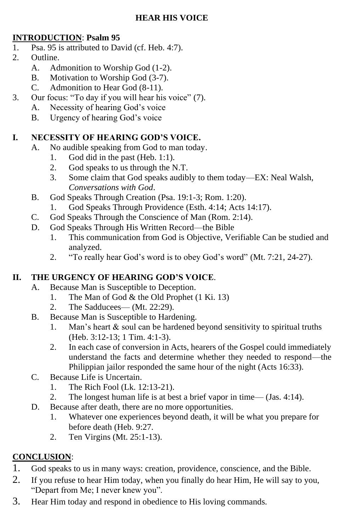#### **INTRODUCTION**: **Psalm 95**

- 1. Psa. 95 is attributed to David (cf. Heb. 4:7).
- 2. Outline.
	- A. Admonition to Worship God (1-2).
	- B. Motivation to Worship God (3-7).
	- C. Admonition to Hear God (8-11).
- 3. Our focus: "To day if you will hear his voice" (7).
	- A. Necessity of hearing God's voice
	- B. Urgency of hearing God's voice

### **I. NECESSITY OF HEARING GOD'S VOICE.**

- A. No audible speaking from God to man today.
	- 1. God did in the past (Heb. 1:1).
	- 2. God speaks to us through the N.T.
	- 3. Some claim that God speaks audibly to them today—EX: Neal Walsh, *Conversations with God*.
- B. God Speaks Through Creation (Psa. 19:1-3; Rom. 1:20).
	- 1. God Speaks Through Providence (Esth. 4:14; Acts 14:17).
- C. God Speaks Through the Conscience of Man (Rom. 2:14).
- D. God Speaks Through His Written Record—the Bible
	- 1. This communication from God is Objective, Verifiable Can be studied and analyzed.
	- 2. "To really hear God's word is to obey God's word" (Mt. 7:21, 24-27).

#### **II. THE URGENCY OF HEARING GOD'S VOICE**.

- A. Because Man is Susceptible to Deception.
	- 1. The Man of God & the Old Prophet (1 Ki. 13)
	- 2. The Sadducees— (Mt. 22:29).
- B. Because Man is Susceptible to Hardening.
	- 1. Man's heart  $\&$  soul can be hardened beyond sensitivity to spiritual truths (Heb. 3:12-13; 1 Tim. 4:1-3).
	- 2. In each case of conversion in Acts, hearers of the Gospel could immediately understand the facts and determine whether they needed to respond—the Philippian jailor responded the same hour of the night (Acts 16:33).
- C. Because Life is Uncertain.
	- 1. The Rich Fool (Lk. 12:13-21).
	- 2. The longest human life is at best a brief vapor in time— (Jas. 4:14).
- D. Because after death, there are no more opportunities.
	- 1. Whatever one experiences beyond death, it will be what you prepare for before death (Heb. 9:27.
	- 2. Ten Virgins (Mt. 25:1-13).

### **CONCLUSION**:

- 1. God speaks to us in many ways: creation, providence, conscience, and the Bible.
- 2. If you refuse to hear Him today, when you finally do hear Him, He will say to you, "Depart from Me; I never knew you".
- 3. Hear Him today and respond in obedience to His loving commands.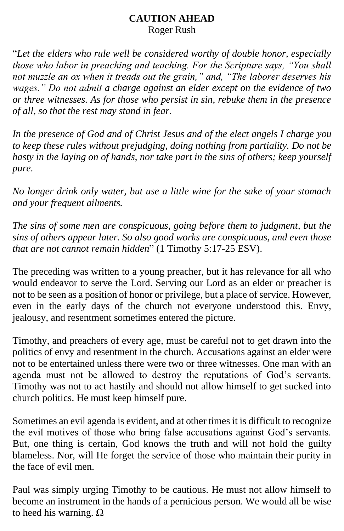## **CAUTION AHEAD** Roger Rush

"*Let the elders who rule well be considered worthy of double honor, especially those who labor in preaching and teaching. For the Scripture says, "You shall not muzzle an ox when it treads out the grain," and, "The laborer deserves his wages." Do not admit a charge against an elder except on the evidence of two or three witnesses. As for those who persist in sin, rebuke them in the presence of all, so that the rest may stand in fear.* 

*In the presence of God and of Christ Jesus and of the elect angels I charge you to keep these rules without prejudging, doing nothing from partiality. Do not be hasty in the laying on of hands, nor take part in the sins of others; keep yourself pure.* 

*No longer drink only water, but use a little wine for the sake of your stomach and your frequent ailments.* 

*The sins of some men are conspicuous, going before them to judgment, but the sins of others appear later. So also good works are conspicuous, and even those that are not cannot remain hidden*" (1 Timothy 5:17-25 ESV).

The preceding was written to a young preacher, but it has relevance for all who would endeavor to serve the Lord. Serving our Lord as an elder or preacher is not to be seen as a position of honor or privilege, but a place of service. However, even in the early days of the church not everyone understood this. Envy, jealousy, and resentment sometimes entered the picture.

Timothy, and preachers of every age, must be careful not to get drawn into the politics of envy and resentment in the church. Accusations against an elder were not to be entertained unless there were two or three witnesses. One man with an agenda must not be allowed to destroy the reputations of God's servants. Timothy was not to act hastily and should not allow himself to get sucked into church politics. He must keep himself pure.

Sometimes an evil agenda is evident, and at other times it is difficult to recognize the evil motives of those who bring false accusations against God's servants. But, one thing is certain, God knows the truth and will not hold the guilty blameless. Nor, will He forget the service of those who maintain their purity in the face of evil men.

Paul was simply urging Timothy to be cautious. He must not allow himself to become an instrument in the hands of a pernicious person. We would all be wise to heed his warning.  $Ω$